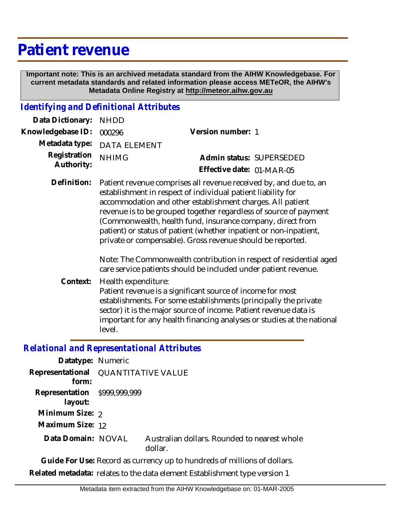## **Patient revenue**

 **Important note: This is an archived metadata standard from the AIHW Knowledgebase. For current metadata standards and related information please access METeOR, the AIHW's Metadata Online Registry at http://meteor.aihw.gov.au**

## *Identifying and Definitional Attributes*

| Data Dictionary: NHDD            |                             |                           |                          |
|----------------------------------|-----------------------------|---------------------------|--------------------------|
| Knowledgebase ID: 000296         |                             | Version number: 1         |                          |
|                                  | Metadata type: DATA ELEMENT |                           |                          |
| Registration NHIMG<br>Authority: |                             |                           | Admin status: SUPERSEDED |
|                                  |                             | Effective date: 01-MAR-05 |                          |
|                                  |                             |                           |                          |

Patient revenue comprises all revenue received by, and due to, an establishment in respect of individual patient liability for accommodation and other establishment charges. All patient revenue is to be grouped together regardless of source of payment (Commonwealth, health fund, insurance company, direct from patient) or status of patient (whether inpatient or non-inpatient, private or compensable). Gross revenue should be reported. **Definition:**

> Note: The Commonwealth contribution in respect of residential aged care service patients should be included under patient revenue.

Health expenditure: **Context:**

> Patient revenue is a significant source of income for most establishments. For some establishments (principally the private sector) it is the major source of income. Patient revenue data is important for any health financing analyses or studies at the national level.

## *Relational and Representational Attributes*

| Datatype: Numeric                       |                                     |                                                         |
|-----------------------------------------|-------------------------------------|---------------------------------------------------------|
| form:                                   | Representational QUANTITATIVE VALUE |                                                         |
| Representation \$999,999,999<br>layout: |                                     |                                                         |
| Minimum Size: 2                         |                                     |                                                         |
| Maximum Size: 12                        |                                     |                                                         |
| Data Domain: NOVAL                      |                                     | Australian dollars. Rounded to nearest whole<br>dollar. |
|                                         |                                     |                                                         |

**Guide For Use:** Record as currency up to hundreds of millions of dollars. **Related metadata:** relates to the data element Establishment type version 1